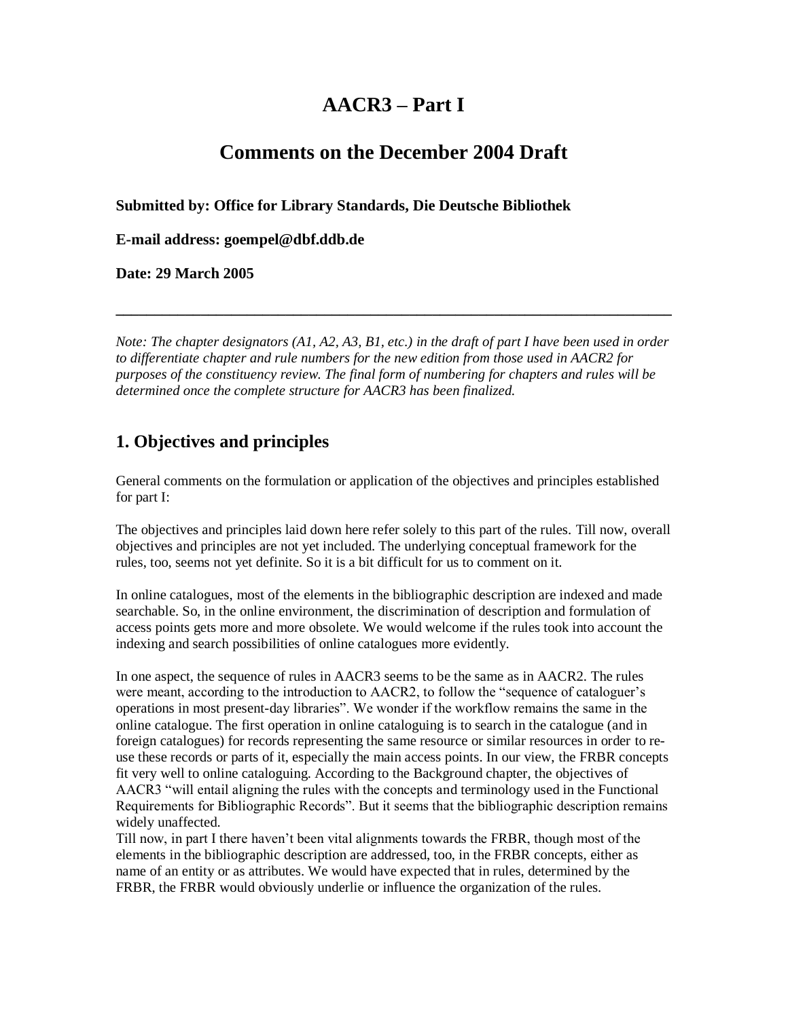# **AACR3 – Part I**

# **Comments on the December 2004 Draft**

**Submitted by: Office for Library Standards, Die Deutsche Bibliothek**

**E-mail address: goempel@dbf.ddb.de**

**Date: 29 March 2005**

*Note: The chapter designators (A1, A2, A3, B1, etc.) in the draft of part I have been used in order to differentiate chapter and rule numbers for the new edition from those used in AACR2 for purposes of the constituency review. The final form of numbering for chapters and rules will be determined once the complete structure for AACR3 has been finalized.*

**\_\_\_\_\_\_\_\_\_\_\_\_\_\_\_\_\_\_\_\_\_\_\_\_\_\_\_\_\_\_\_\_\_\_\_\_\_\_\_\_\_\_\_\_\_\_\_\_\_\_\_\_\_\_\_\_\_\_\_\_\_\_\_\_\_\_\_\_\_\_\_\_**

# **1. Objectives and principles**

General comments on the formulation or application of the objectives and principles established for part I:

The objectives and principles laid down here refer solely to this part of the rules. Till now, overall objectives and principles are not yet included. The underlying conceptual framework for the rules, too, seems not yet definite. So it is a bit difficult for us to comment on it.

In online catalogues, most of the elements in the bibliographic description are indexed and made searchable. So, in the online environment, the discrimination of description and formulation of access points gets more and more obsolete. We would welcome if the rules took into account the indexing and search possibilities of online catalogues more evidently.

In one aspect, the sequence of rules in AACR3 seems to be the same as in AACR2. The rules were meant, according to the introduction to AACR2, to follow the "sequence of cataloguer's operations in most present-day libraries". We wonder if the workflow remains the same in the online catalogue. The first operation in online cataloguing is to search in the catalogue (and in foreign catalogues) for records representing the same resource or similar resources in order to reuse these records or parts of it, especially the main access points. In our view, the FRBR concepts fit very well to online cataloguing. According to the Background chapter, the objectives of AACR3 "will entail aligning the rules with the concepts and terminology used in the Functional Requirements for Bibliographic Records". But it seems that the bibliographic description remains widely unaffected.

Till now, in part I there haven't been vital alignments towards the FRBR, though most of the elements in the bibliographic description are addressed, too, in the FRBR concepts, either as name of an entity or as attributes. We would have expected that in rules, determined by the FRBR, the FRBR would obviously underlie or influence the organization of the rules.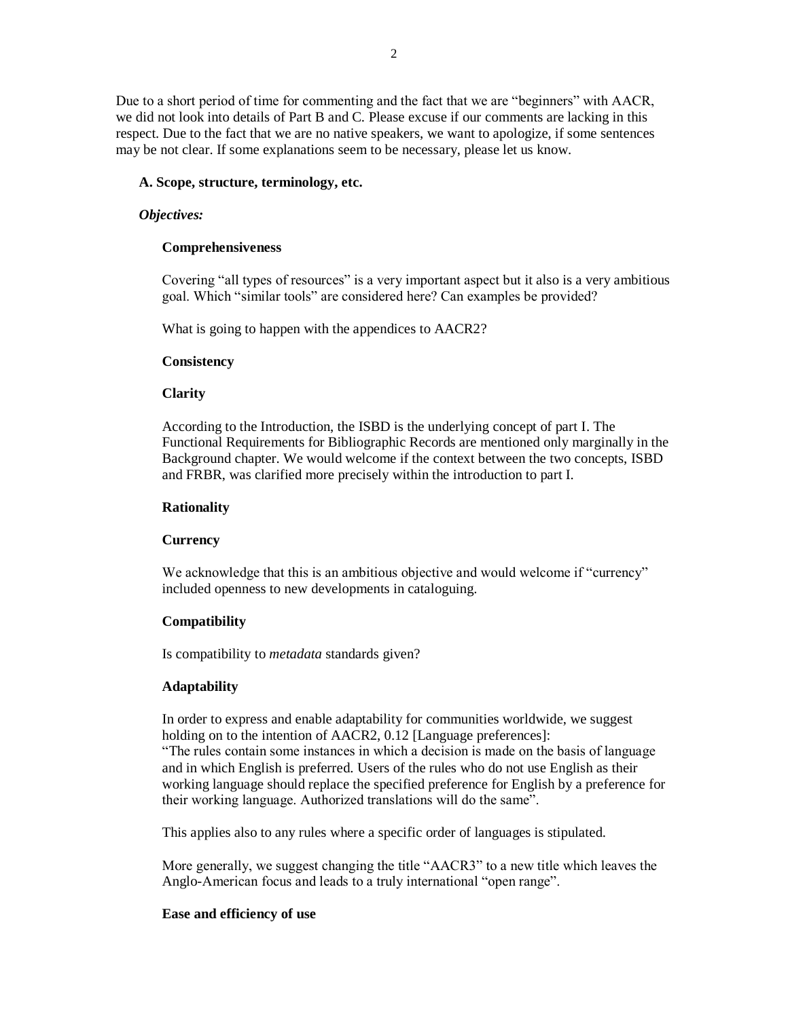Due to a short period of time for commenting and the fact that we are "beginners" with AACR, we did not look into details of Part B and C. Please excuse if our comments are lacking in this respect. Due to the fact that we are no native speakers, we want to apologize, if some sentences may be not clear. If some explanations seem to be necessary, please let us know.

### **A. Scope, structure, terminology, etc.**

### *Objectives:*

## **Comprehensiveness**

Covering "all types of resources" is a very important aspect but it also is a very ambitious goal. Which "similar tools" are considered here? Can examples be provided?

What is going to happen with the appendices to AACR2?

### **Consistency**

## **Clarity**

According to the Introduction, the ISBD is the underlying concept of part I. The Functional Requirements for Bibliographic Records are mentioned only marginally in the Background chapter. We would welcome if the context between the two concepts, ISBD and FRBR, was clarified more precisely within the introduction to part I.

### **Rationality**

# **Currency**

We acknowledge that this is an ambitious objective and would welcome if "currency" included openness to new developments in cataloguing.

# **Compatibility**

Is compatibility to *metadata* standards given?

# **Adaptability**

In order to express and enable adaptability for communities worldwide, we suggest holding on to the intention of AACR2, 0.12 [Language preferences]:

"The rules contain some instances in which a decision is made on the basis of language and in which English is preferred. Users of the rules who do not use English as their working language should replace the specified preference for English by a preference for their working language. Authorized translations will do the same".

This applies also to any rules where a specific order of languages is stipulated.

More generally, we suggest changing the title "AACR3" to a new title which leaves the Anglo-American focus and leads to a truly international "open range".

### **Ease and efficiency of use**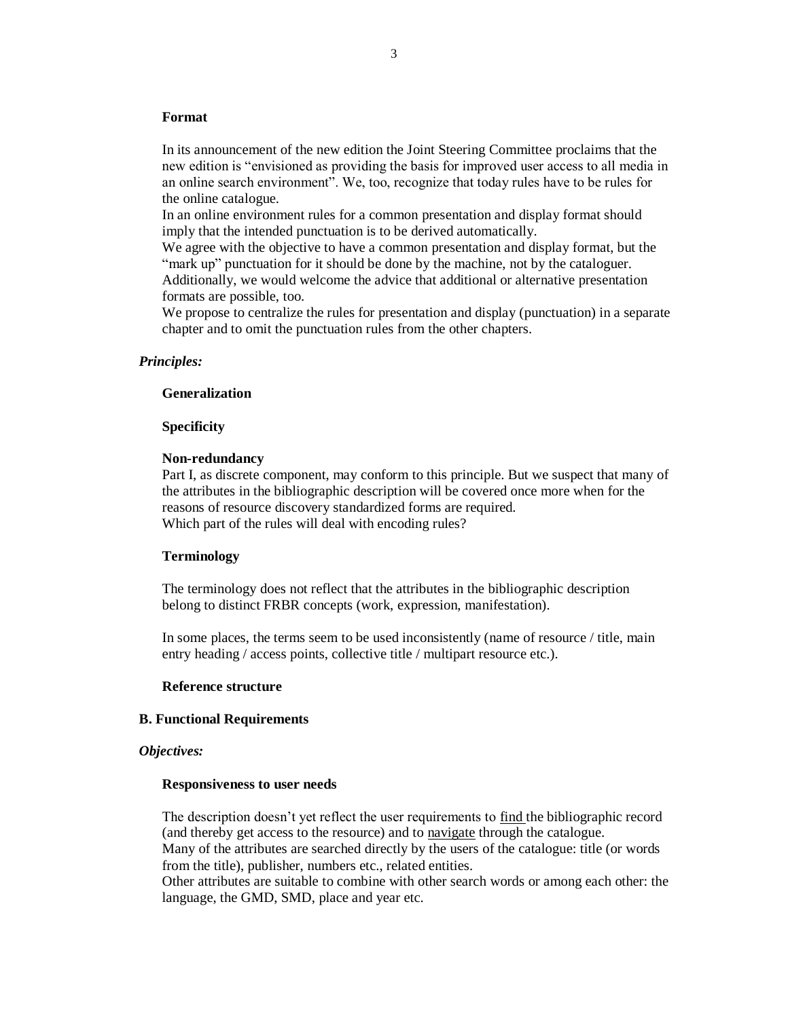#### **Format**

In its announcement of the new edition the Joint Steering Committee proclaims that the new edition is "envisioned as providing the basis for improved user access to all media in an online search environment". We, too, recognize that today rules have to be rules for the online catalogue.

In an online environment rules for a common presentation and display format should imply that the intended punctuation is to be derived automatically.

We agree with the objective to have a common presentation and display format, but the "mark up" punctuation for it should be done by the machine, not by the cataloguer. Additionally, we would welcome the advice that additional or alternative presentation formats are possible, too.

We propose to centralize the rules for presentation and display (punctuation) in a separate chapter and to omit the punctuation rules from the other chapters.

# *Principles:*

### **Generalization**

#### **Specificity**

### **Non-redundancy**

Part I, as discrete component, may conform to this principle. But we suspect that many of the attributes in the bibliographic description will be covered once more when for the reasons of resource discovery standardized forms are required. Which part of the rules will deal with encoding rules?

#### **Terminology**

The terminology does not reflect that the attributes in the bibliographic description belong to distinct FRBR concepts (work, expression, manifestation).

In some places, the terms seem to be used inconsistently (name of resource / title, main entry heading / access points, collective title / multipart resource etc.).

### **Reference structure**

#### **B. Functional Requirements**

#### *Objectives:*

#### **Responsiveness to user needs**

The description doesn't yet reflect the user requirements to find the bibliographic record (and thereby get access to the resource) and to navigate through the catalogue. Many of the attributes are searched directly by the users of the catalogue: title (or words from the title), publisher, numbers etc., related entities.

Other attributes are suitable to combine with other search words or among each other: the language, the GMD, SMD, place and year etc.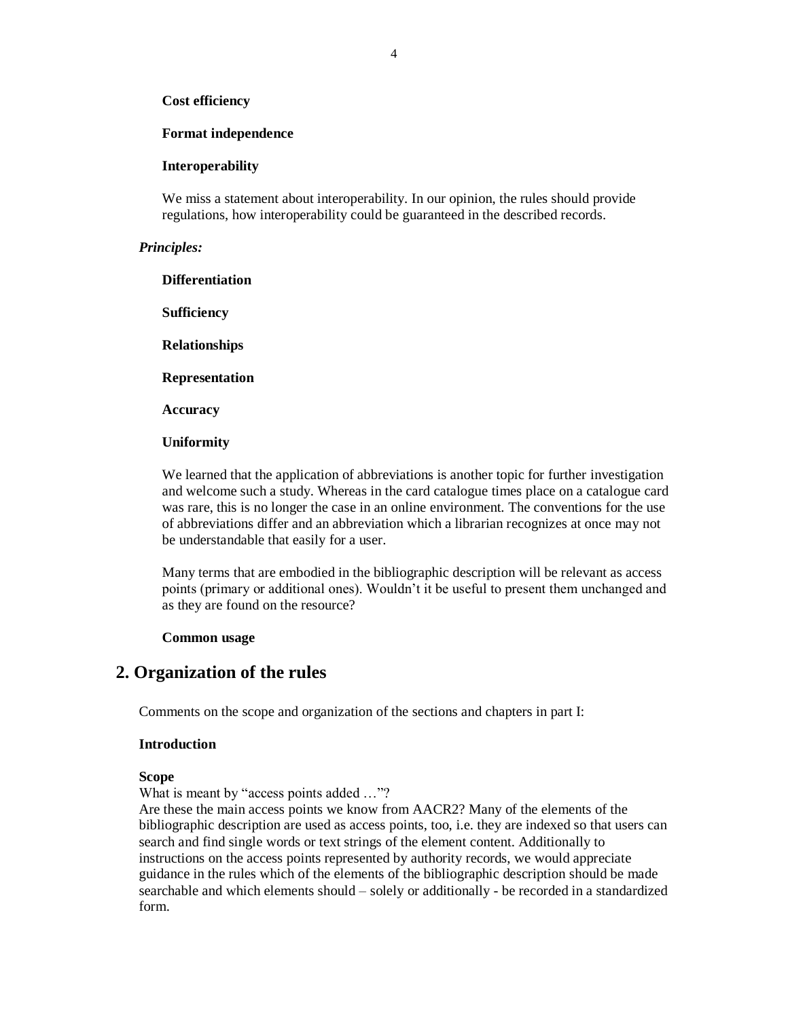#### **Cost efficiency**

#### **Format independence**

#### **Interoperability**

We miss a statement about interoperability. In our opinion, the rules should provide regulations, how interoperability could be guaranteed in the described records.

#### *Principles:*

**Differentiation**

**Sufficiency**

**Relationships**

**Representation**

**Accuracy**

#### **Uniformity**

We learned that the application of abbreviations is another topic for further investigation and welcome such a study. Whereas in the card catalogue times place on a catalogue card was rare, this is no longer the case in an online environment. The conventions for the use of abbreviations differ and an abbreviation which a librarian recognizes at once may not be understandable that easily for a user.

Many terms that are embodied in the bibliographic description will be relevant as access points (primary or additional ones). Wouldn't it be useful to present them unchanged and as they are found on the resource?

#### **Common usage**

# **2. Organization of the rules**

Comments on the scope and organization of the sections and chapters in part I:

### **Introduction**

#### **Scope**

What is meant by "access points added ..."?

Are these the main access points we know from AACR2? Many of the elements of the bibliographic description are used as access points, too, i.e. they are indexed so that users can search and find single words or text strings of the element content. Additionally to instructions on the access points represented by authority records, we would appreciate guidance in the rules which of the elements of the bibliographic description should be made searchable and which elements should – solely or additionally - be recorded in a standardized form.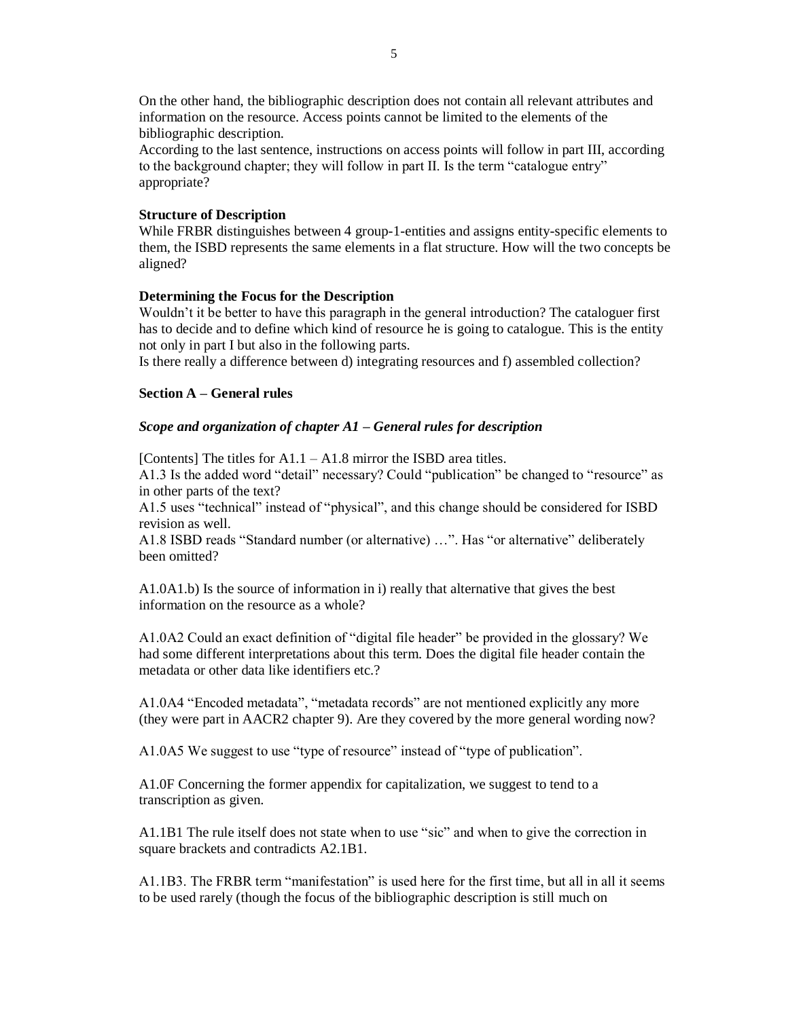On the other hand, the bibliographic description does not contain all relevant attributes and information on the resource. Access points cannot be limited to the elements of the bibliographic description.

According to the last sentence, instructions on access points will follow in part III, according to the background chapter; they will follow in part II. Is the term "catalogue entry" appropriate?

### **Structure of Description**

While FRBR distinguishes between 4 group-1-entities and assigns entity-specific elements to them, the ISBD represents the same elements in a flat structure. How will the two concepts be aligned?

## **Determining the Focus for the Description**

Wouldn't it be better to have this paragraph in the general introduction? The cataloguer first has to decide and to define which kind of resource he is going to catalogue. This is the entity not only in part I but also in the following parts.

Is there really a difference between d) integrating resources and f) assembled collection?

## **Section A – General rules**

## *Scope and organization of chapter A1 – General rules for description*

[Contents] The titles for A1.1 – A1.8 mirror the ISBD area titles.

A1.3 Is the added word "detail" necessary? Could "publication" be changed to "resource" as in other parts of the text?

A1.5 uses "technical" instead of "physical", and this change should be considered for ISBD revision as well.

A1.8 ISBD reads "Standard number (or alternative) …". Has "or alternative" deliberately been omitted?

A1.0A1.b) Is the source of information in i) really that alternative that gives the best information on the resource as a whole?

A1.0A2 Could an exact definition of "digital file header" be provided in the glossary? We had some different interpretations about this term. Does the digital file header contain the metadata or other data like identifiers etc.?

A1.0A4 "Encoded metadata", "metadata records" are not mentioned explicitly any more (they were part in AACR2 chapter 9). Are they covered by the more general wording now?

A1.0A5 We suggest to use "type of resource" instead of "type of publication".

A1.0F Concerning the former appendix for capitalization, we suggest to tend to a transcription as given.

A1.1B1 The rule itself does not state when to use "sic" and when to give the correction in square brackets and contradicts A2.1B1.

A1.1B3. The FRBR term "manifestation" is used here for the first time, but all in all it seems to be used rarely (though the focus of the bibliographic description is still much on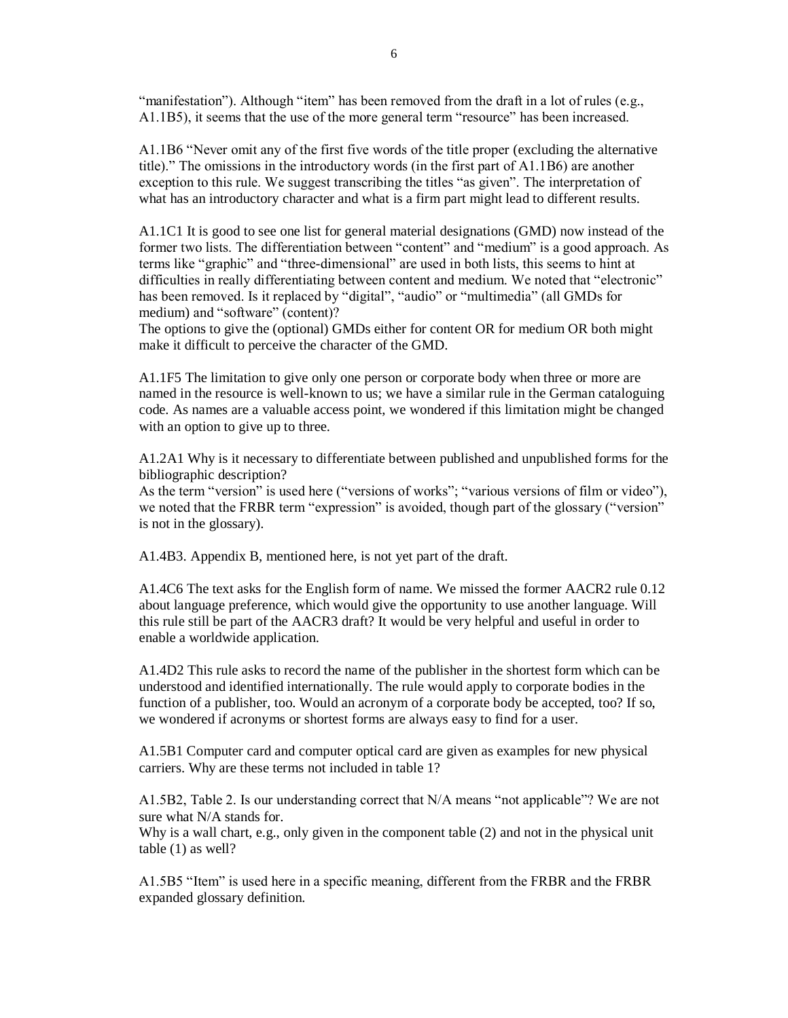"manifestation"). Although "item" has been removed from the draft in a lot of rules (e.g., A1.1B5), it seems that the use of the more general term "resource" has been increased.

A1.1B6 "Never omit any of the first five words of the title proper (excluding the alternative title)." The omissions in the introductory words (in the first part of A1.1B6) are another exception to this rule. We suggest transcribing the titles "as given". The interpretation of what has an introductory character and what is a firm part might lead to different results.

A1.1C1 It is good to see one list for general material designations (GMD) now instead of the former two lists. The differentiation between "content" and "medium" is a good approach. As terms like "graphic" and "three-dimensional" are used in both lists, this seems to hint at difficulties in really differentiating between content and medium. We noted that "electronic" has been removed. Is it replaced by "digital", "audio" or "multimedia" (all GMDs for medium) and "software" (content)?

The options to give the (optional) GMDs either for content OR for medium OR both might make it difficult to perceive the character of the GMD.

A1.1F5 The limitation to give only one person or corporate body when three or more are named in the resource is well-known to us; we have a similar rule in the German cataloguing code. As names are a valuable access point, we wondered if this limitation might be changed with an option to give up to three.

A1.2A1 Why is it necessary to differentiate between published and unpublished forms for the bibliographic description?

As the term "version" is used here ("versions of works"; "various versions of film or video"), we noted that the FRBR term "expression" is avoided, though part of the glossary ("version" is not in the glossary).

A1.4B3. Appendix B, mentioned here, is not yet part of the draft.

A1.4C6 The text asks for the English form of name. We missed the former AACR2 rule 0.12 about language preference, which would give the opportunity to use another language. Will this rule still be part of the AACR3 draft? It would be very helpful and useful in order to enable a worldwide application.

A1.4D2 This rule asks to record the name of the publisher in the shortest form which can be understood and identified internationally. The rule would apply to corporate bodies in the function of a publisher, too. Would an acronym of a corporate body be accepted, too? If so, we wondered if acronyms or shortest forms are always easy to find for a user.

A1.5B1 Computer card and computer optical card are given as examples for new physical carriers. Why are these terms not included in table 1?

A1.5B2, Table 2. Is our understanding correct that N/A means "not applicable"? We are not sure what N/A stands for.

Why is a wall chart, e.g., only given in the component table (2) and not in the physical unit table (1) as well?

A1.5B5 "Item" is used here in a specific meaning, different from the FRBR and the FRBR expanded glossary definition.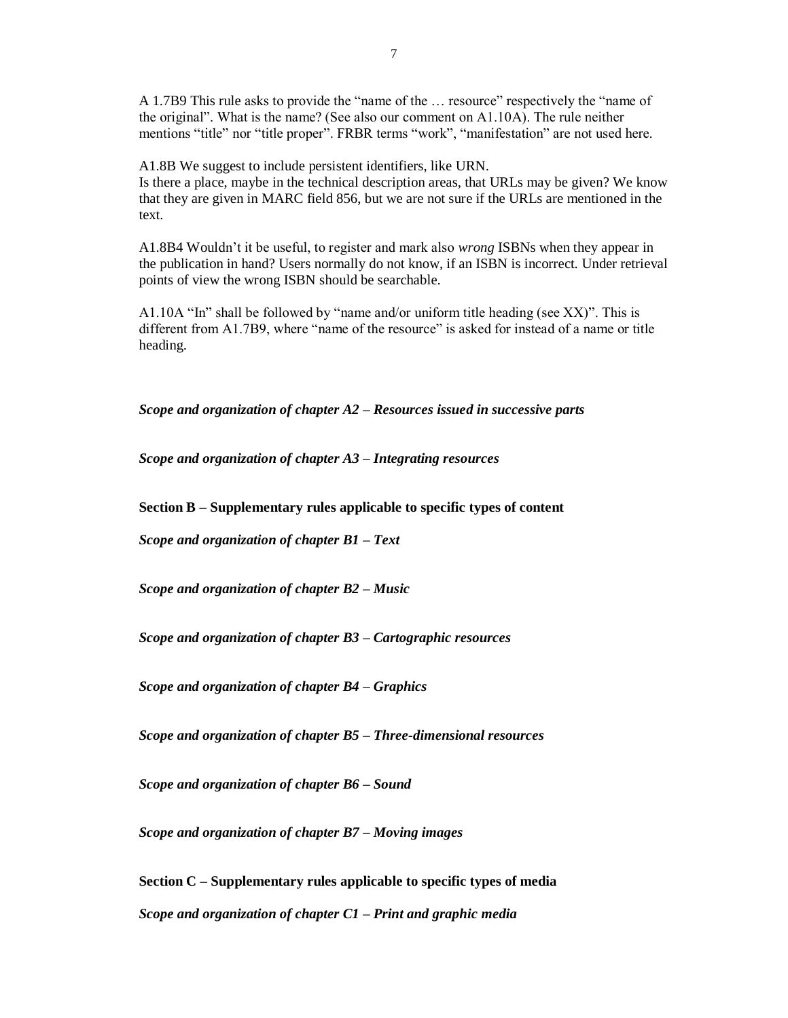A 1.7B9 This rule asks to provide the "name of the … resource" respectively the "name of the original". What is the name? (See also our comment on A1.10A). The rule neither mentions "title" nor "title proper". FRBR terms "work", "manifestation" are not used here.

A1.8B We suggest to include persistent identifiers, like URN. Is there a place, maybe in the technical description areas, that URLs may be given? We know that they are given in MARC field 856, but we are not sure if the URLs are mentioned in the text.

A1.8B4 Wouldn't it be useful, to register and mark also *wrong* ISBNs when they appear in the publication in hand? Users normally do not know, if an ISBN is incorrect. Under retrieval points of view the wrong ISBN should be searchable.

A1.10A "In" shall be followed by "name and/or uniform title heading (see XX)". This is different from A1.7B9, where "name of the resource" is asked for instead of a name or title heading.

*Scope and organization of chapter A2 – Resources issued in successive parts*

*Scope and organization of chapter A3 – Integrating resources*

**Section B – Supplementary rules applicable to specific types of content**

*Scope and organization of chapter B1 – Text*

*Scope and organization of chapter B2 – Music*

*Scope and organization of chapter B3 – Cartographic resources*

*Scope and organization of chapter B4 – Graphics*

*Scope and organization of chapter B5 – Three-dimensional resources*

*Scope and organization of chapter B6 – Sound*

*Scope and organization of chapter B7 – Moving images*

**Section C – Supplementary rules applicable to specific types of media** *Scope and organization of chapter C1 – Print and graphic media*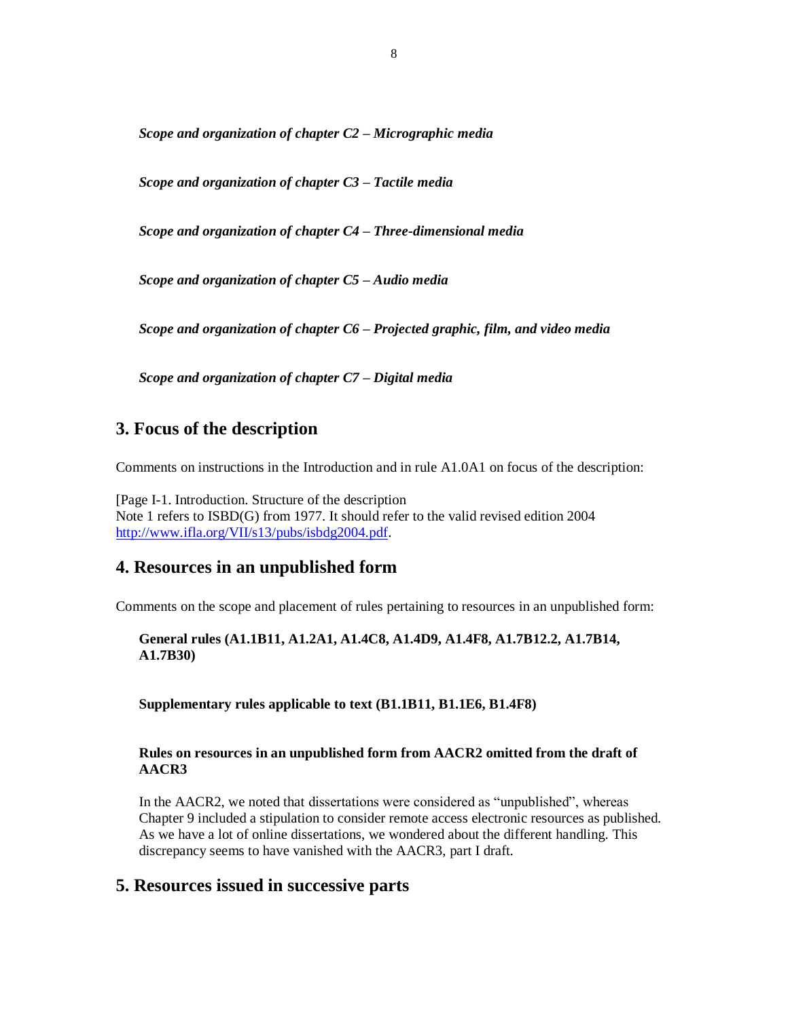*Scope and organization of chapter C2 – Micrographic media*

*Scope and organization of chapter C3 – Tactile media*

*Scope and organization of chapter C4 – Three-dimensional media*

*Scope and organization of chapter C5 – Audio media*

*Scope and organization of chapter C6 – Projected graphic, film, and video media*

*Scope and organization of chapter C7 – Digital media*

# **3. Focus of the description**

Comments on instructions in the Introduction and in rule A1.0A1 on focus of the description:

[Page I-1. Introduction. Structure of the description Note 1 refers to ISBD(G) from 1977. It should refer to the valid revised edition 2004 [http://www.ifla.org/VII/s13/pubs/isbdg2004.pdf.](http://www.ifla.org/VII/s13/pubs/isbdg2004.pdf)

# **4. Resources in an unpublished form**

Comments on the scope and placement of rules pertaining to resources in an unpublished form:

**General rules (A1.1B11, A1.2A1, A1.4C8, A1.4D9, A1.4F8, A1.7B12.2, A1.7B14, A1.7B30)**

**Supplementary rules applicable to text (B1.1B11, B1.1E6, B1.4F8)**

## **Rules on resources in an unpublished form from AACR2 omitted from the draft of AACR3**

In the AACR2, we noted that dissertations were considered as "unpublished", whereas Chapter 9 included a stipulation to consider remote access electronic resources as published. As we have a lot of online dissertations, we wondered about the different handling. This discrepancy seems to have vanished with the AACR3, part I draft.

# **5. Resources issued in successive parts**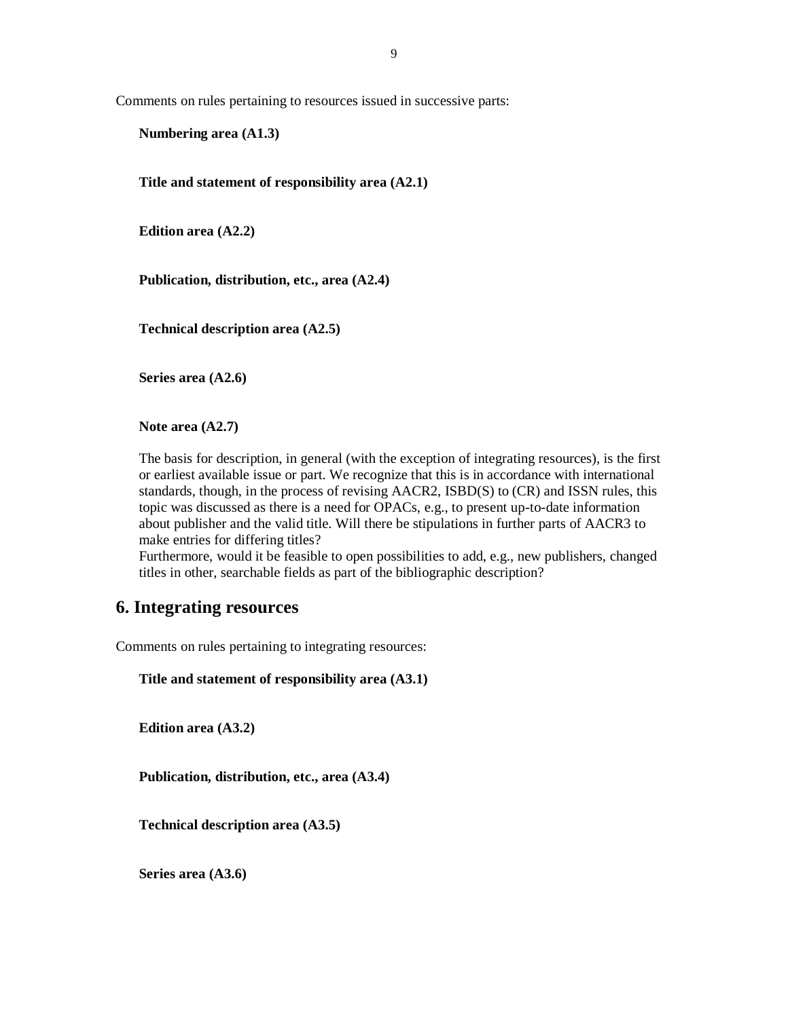Comments on rules pertaining to resources issued in successive parts:

**Numbering area (A1.3)**

**Title and statement of responsibility area (A2.1)**

**Edition area (A2.2)**

**Publication, distribution, etc., area (A2.4)**

**Technical description area (A2.5)**

**Series area (A2.6)**

**Note area (A2.7)**

The basis for description, in general (with the exception of integrating resources), is the first or earliest available issue or part. We recognize that this is in accordance with international standards, though, in the process of revising AACR2, ISBD(S) to (CR) and ISSN rules, this topic was discussed as there is a need for OPACs, e.g., to present up-to-date information about publisher and the valid title. Will there be stipulations in further parts of AACR3 to make entries for differing titles?

Furthermore, would it be feasible to open possibilities to add, e.g., new publishers, changed titles in other, searchable fields as part of the bibliographic description?

# **6. Integrating resources**

Comments on rules pertaining to integrating resources:

**Title and statement of responsibility area (A3.1)**

**Edition area (A3.2)**

**Publication, distribution, etc., area (A3.4)**

**Technical description area (A3.5)**

**Series area (A3.6)**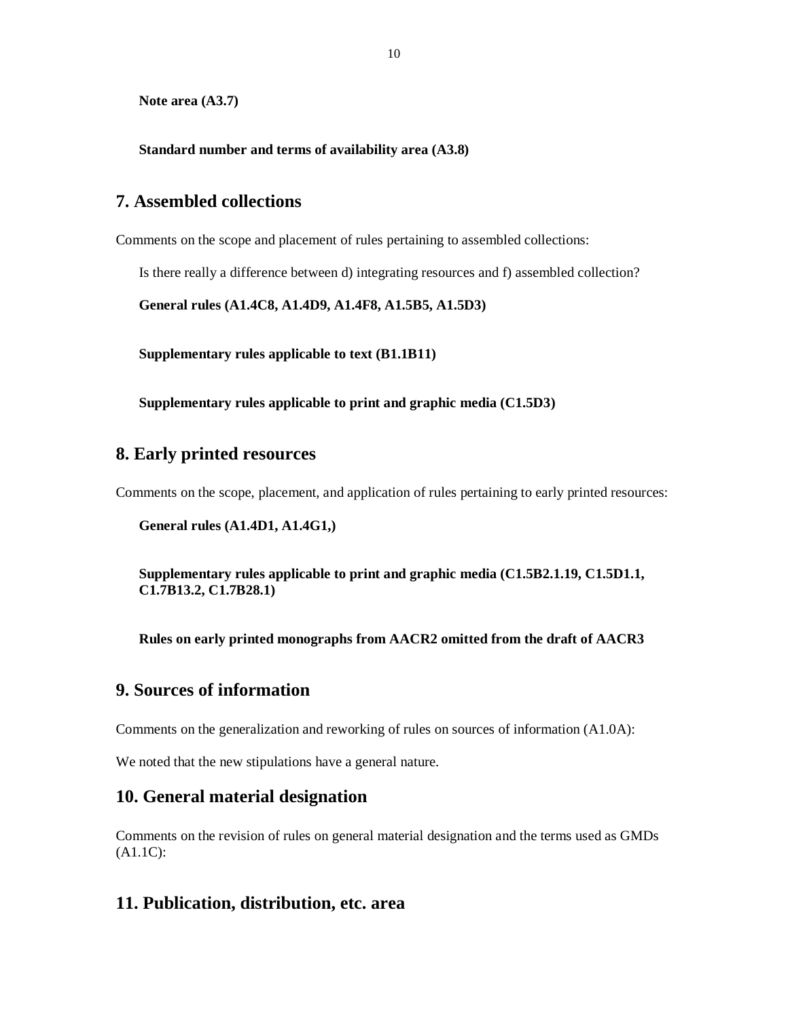**Note area (A3.7)**

**Standard number and terms of availability area (A3.8)**

# **7. Assembled collections**

Comments on the scope and placement of rules pertaining to assembled collections:

Is there really a difference between d) integrating resources and f) assembled collection?

**General rules (A1.4C8, A1.4D9, A1.4F8, A1.5B5, A1.5D3)**

**Supplementary rules applicable to text (B1.1B11)**

**Supplementary rules applicable to print and graphic media (C1.5D3)**

# **8. Early printed resources**

Comments on the scope, placement, and application of rules pertaining to early printed resources:

```
General rules (A1.4D1, A1.4G1,)
```
**Supplementary rules applicable to print and graphic media (C1.5B2.1.19, C1.5D1.1, C1.7B13.2, C1.7B28.1)**

**Rules on early printed monographs from AACR2 omitted from the draft of AACR3**

# **9. Sources of information**

Comments on the generalization and reworking of rules on sources of information (A1.0A):

We noted that the new stipulations have a general nature.

# **10. General material designation**

Comments on the revision of rules on general material designation and the terms used as GMDs (A1.1C):

# **11. Publication, distribution, etc. area**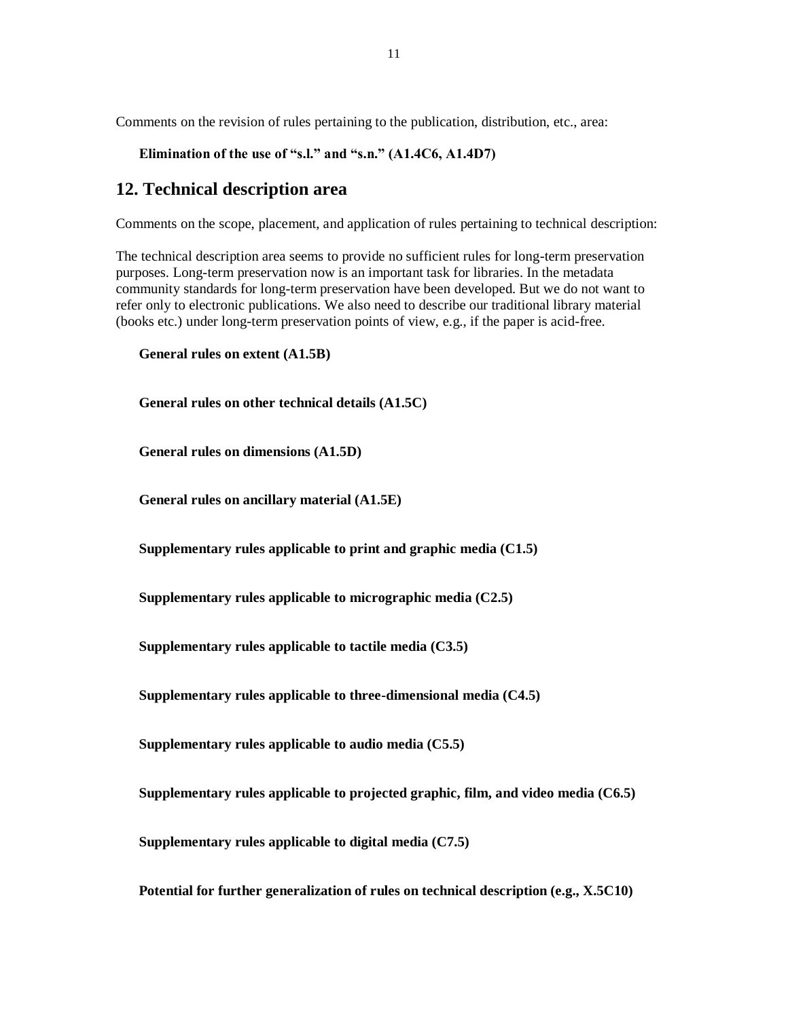Comments on the revision of rules pertaining to the publication, distribution, etc., area:

```
Elimination of the use of "s.l." and "s.n." (A1.4C6, A1.4D7)
```
# **12. Technical description area**

Comments on the scope, placement, and application of rules pertaining to technical description:

The technical description area seems to provide no sufficient rules for long-term preservation purposes. Long-term preservation now is an important task for libraries. In the metadata community standards for long-term preservation have been developed. But we do not want to refer only to electronic publications. We also need to describe our traditional library material (books etc.) under long-term preservation points of view, e.g., if the paper is acid-free.

```
General rules on extent (A1.5B)
```
**General rules on other technical details (A1.5C)**

**General rules on dimensions (A1.5D)**

**General rules on ancillary material (A1.5E)**

**Supplementary rules applicable to print and graphic media (C1.5)**

**Supplementary rules applicable to micrographic media (C2.5)**

**Supplementary rules applicable to tactile media (C3.5)**

**Supplementary rules applicable to three-dimensional media (C4.5)**

**Supplementary rules applicable to audio media (C5.5)**

**Supplementary rules applicable to projected graphic, film, and video media (C6.5)**

**Supplementary rules applicable to digital media (C7.5)**

**Potential for further generalization of rules on technical description (e.g., X.5C10)**